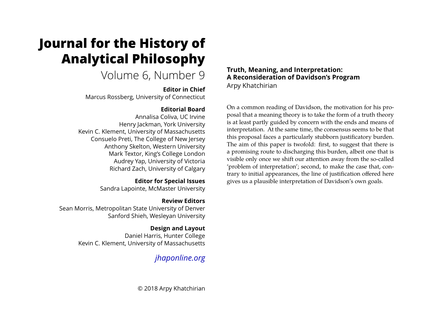# **Journal for the History of Analytical Philosophy**

## Volume 6, Number 9

## **Editor in Chief**

Marcus Rossberg, University of Connecticut

## **Editorial Board**

Annalisa Coliva, UC Irvine Henry Jackman, York University Kevin C. Klement, University of Massachusetts Consuelo Preti, The College of New Jersey Anthony Skelton, Western University Mark Textor, King's College London Audrey Yap, University of Victoria Richard Zach, University of Calgary

## **Editor for Special Issues**

Sandra Lapointe, McMaster University

## **Review Editors**

Sean Morris, Metropolitan State University of Denver Sanford Shieh, Wesleyan University

## **Design and Layout**

Daniel Harris, Hunter College Kevin C. Klement, University of Massachusetts

## *[jhaponline.org](https://jhaponline.org)*

© 2018 Arpy Khatchirian

## **Truth, Meaning, and Interpretation: A Reconsideration of Davidson's Program** Arpy Khatchirian

On a common reading of Davidson, the motivation for his proposal that a meaning theory is to take the form of a truth theory is at least partly guided by concern with the ends and means of interpretation. At the same time, the consensus seems to be that this proposal faces a particularly stubborn justificatory burden. The aim of this paper is twofold: first, to suggest that there is a promising route to discharging this burden, albeit one that is visible only once we shift our attention away from the so-called 'problem of interpretation'; second, to make the case that, contrary to initial appearances, the line of justification offered here gives us a plausible interpretation of Davidson's own goals.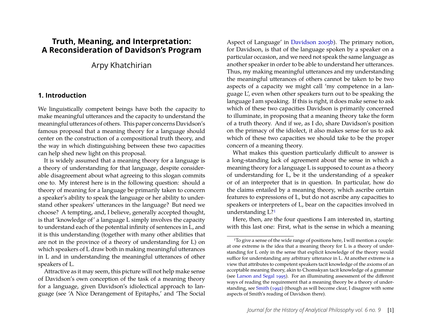## **Truth, Meaning, and Interpretation: A Reconsideration of Davidson's Program**

Arpy Khatchirian

#### **1. Introduction**

We linguistically competent beings have both the capacity to make meaningful utterances and the capacity to understand the meaningful utterances of others. This paper concerns Davidson's famous proposal that a meaning theory for a language should center on the construction of a compositional truth theory, and the way in which distinguishing between these two capacities can help shed new light on this proposal.

It is widely assumed that a meaning theory for a language is a theory of understanding for that language, despite considerable disagreement about what agreeing to this slogan commits one to. My interest here is in the following question: should a theory of meaning for a language be primarily taken to concern a speaker's ability to speak the language or her ability to understand other speakers' utterances in the language? But need we choose? A tempting, and, I believe, generally accepted thought, is that 'knowledge of' a language L simply involves the capacity to understand each of the potential infinity of sentences in L, and it is this understanding (together with many other abilities that are not in the province of a theory of understanding for L) on which speakers of L draw both in making meaningful utterances in L and in understanding the meaningful utterances of other speakers of L.

Attractive as it may seem, this picture will not help make sense of Davidson's own conception of the task of a meaning theory for a language, given Davidson's idiolectical approach to language (see 'A Nice Derangement of Epitaphs,' and 'The Social Aspect of Language' in [Davidson 2005b\)](#page-19-0). The primary notion, for Davidson, is that of the language spoken by a speaker on a particular occasion, and we need not speak the same language as another speaker in order to be able to understand her utterances. Thus, my making meaningful utterances and my understanding the meaningful utterances of others cannot be taken to be two aspects of a capacity we might call 'my competence in a language L', even when other speakers turn out to be speaking the language I am speaking. If this is right, it does make sense to ask which of these two capacities Davidson is primarily concerned to illuminate, in proposing that a meaning theory take the form of a truth theory. And if we, as I do, share Davidson's position on the primacy of the idiolect, it also makes sense for us to ask which of these two capacities we should take to be the proper concern of a meaning theory.

What makes this question particularly difficult to answer is a long-standing lack of agreement about the sense in which a meaning theory for a language L is supposed to count as a theory of understanding for L, be it the understanding of a speaker or of an interpreter that is in question. In particular, how do the claims entailed by a meaning theory, which ascribe certain features to expressions of L, but do not ascribe any capacities to speakers or interpreters of L, bear on the capacities involved in understanding L[?1](#page-1-0)

Here, then, are the four questions I am interested in, starting with this last one: First, what is the sense in which a meaning

<span id="page-1-0"></span><sup>1</sup>To give a sense of the wide range of positions here, I will mention a couple: at one extreme is the idea that a meaning theory for L is a theory of understanding for L only in the sense that explicit knowledge of the theory would suffice for understanding any arbitrary utterance in L. At another extreme is a view that attributes to competent speakers tacit knowledge of the axioms of an acceptable meaning theory, akin to Chomskyan tacit knowledge of a grammar (see [Larson and Segal](#page-20-0) [1995\)](#page-20-0). For an illuminating assessment of the different ways of reading the requirement that a meaning theory be a theory of understanding, see [Smith](#page-20-1) [\(1992\)](#page-20-1) (though as will become clear, I disagree with some aspects of Smith's reading of Davidson there).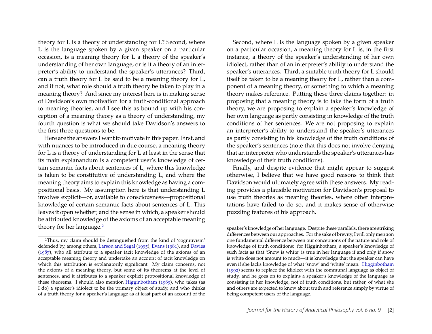theory for L is a theory of understanding for L? Second, where L is the language spoken by a given speaker on a particular occasion, is a meaning theory for L a theory of the speaker's understanding of her own language, or is it a theory of an interpreter's ability to understand the speaker's utterances? Third, can a truth theory for L be said to be a meaning theory for L, and if not, what role should a truth theory be taken to play in a meaning theory? And since my interest here is in making sense of Davidson's own motivation for a truth-conditional approach to meaning theories, and I see this as bound up with his conception of a meaning theory as a theory of understanding, my fourth question is what we should take Davidson's answers to the first three questions to be.

Here are the answers I want to motivate in this paper. First, and with nuances to be introduced in due course, a meaning theory for L is a theory of understanding for L at least in the sense that its main explanandum is a competent user's knowledge of certain semantic facts about sentences of L, where this knowledge is taken to be constitutive of understanding L, and where the meaning theory aims to explain this knowledge as having a compositional basis. My assumption here is that understanding L involves explicit—or, available to consciousness—propositional knowledge of certain semantic facts about sentences of L. This leaves it open whether, and the sense in which, a speaker should be attributed knowledge of the axioms of an acceptable meaning theory for her language.<sup>[2](#page-2-0)</sup>

Second, where L is the language spoken by a given speaker on a particular occasion, a meaning theory for L is, in the first instance, a theory of the speaker's understanding of her own idiolect, rather than of an interpreter's ability to understand the speaker's utterances. Third, a suitable truth theory for L should itself be taken to be a meaning theory for L, rather than a component of a meaning theory, or something to which a meaning theory makes reference. Putting these three claims together: in proposing that a meaning theory is to take the form of a truth theory, we are proposing to explain a speaker's knowledge of her own language as partly consisting in knowledge of the truth conditions of her sentences. We are not proposing to explain an interpreter's ability to understand the speaker's utterances as partly consisting in his knowledge of the truth conditions of the speaker's sentences (note that this does not involve denying that an interpreter who understands the speaker's utterances has knowledge of their truth conditions).

Finally, and despite evidence that might appear to suggest otherwise, I believe that we have good reasons to think that Davidson would ultimately agree with these answers. My reading provides a plausible motivation for Davidson's proposal to use truth theories as meaning theories, where other interpretations have failed to do so, and it makes sense of otherwise puzzling features of his approach.

<span id="page-2-0"></span><sup>2</sup>Thus, my claim should be distinguished from the kind of 'cognitivism' defended by, among others, [Larson and Segal](#page-20-0) [\(1995\)](#page-20-0), [Evans](#page-19-1) [\(1981\)](#page-19-1), and [Davies](#page-19-2) [\(1987\)](#page-19-2), who all attribute to a speaker tacit knowledge of the axioms of an acceptable meaning theory and undertake an account of tacit knowledge on which this attribution is explanatorily significant. My claim concerns, not the axioms of a meaning theory, but some of its theorems at the level of sentences, and it attributes to a speaker explicit propositional knowledge of these theorems. I should also mention [Higginbotham](#page-20-2) [\(1989\)](#page-20-2), who takes (as I do) a speaker's idiolect to be the primary object of study, and who thinks of a truth theory for a speaker's language as at least part of an account of the

speaker's knowledge of her language. Despite these parallels, there are striking differences between our approaches. For the sake of brevity, I will only mention one fundamental difference between our conceptions of the nature and role of knowledge of truth conditions: for Higginbotham, a speaker's knowledge of such facts as that 'Snow is white' is true in her language if and only if snow is white does not amount to much—it is knowledge that the speaker can have even if she lacks knowledge of what 'snow' and 'white' mean. [Higginbotham](#page-20-3) [\(1992\)](#page-20-3) seems to replace the idiolect with the communal language as object of study, and he goes on to explains a speaker's knowledge of the language as consisting in her knowledge, not of truth conditions, but rather, of what she and others are expected to know about truth and reference simply by virtue of being competent users of the language.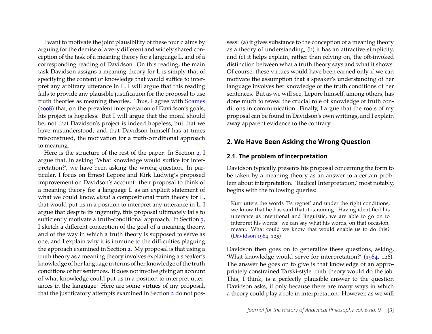I want to motivate the joint plausibility of these four claims by arguing for the demise of a very different and widely shared conception of the task of a meaning theory for a language L, and of a corresponding reading of Davidson. On this reading, the main task Davidson assigns a meaning theory for L is simply that of specifying the content of knowledge that would suffice to interpret any arbitrary utterance in L. I will argue that this reading fails to provide any plausible justification for the proposal to use truth theories as meaning theories. Thus, I agree with [Soames](#page-20-4) [\(2008\)](#page-20-4) that, on the prevalent interpretation of Davidson's goals, his project is hopeless. But I will argue that the moral should be, not that Davidson's project is indeed hopeless, but that we have misunderstood, and that Davidson himself has at times misconstrued, the motivation for a truth-conditional approach to meaning.

Here is the structure of the rest of the paper. In Section [2,](#page-3-0) I argue that, in asking 'What knowledge would suffice for interpretation?', we have been asking the wrong question. In particular, I focus on Ernest Lepore and Kirk Ludwig's proposed improvement on Davidson's account: their proposal to think of a meaning theory for a language L as an explicit statement of what we could know, *about* a compositional truth theory for L, that would put us in a position to interpret any utterance in L. I argue that despite its ingenuity, this proposal ultimately fails to sufficiently motivate a truth-conditional approach. In Section [3,](#page-12-0) I sketch a different conception of the goal of a meaning theory, and of the way in which a truth theory is supposed to serve as one, and I explain why it is immune to the difficulties plaguing the approach examined in Section [2.](#page-3-0) My proposal is that using a truth theory as a meaning theory involves explaining a speaker's knowledge of her language in terms of her knowledge of the truth conditions of her sentences. It does not involve giving an account of what knowledge could put us in a position to interpret utterances in the language. Here are some virtues of my proposal, that the justificatory attempts examined in Section [2](#page-3-0) do not possess: (a) it gives substance to the conception of a meaning theory as a theory of understanding, (b) it has an attractive simplicity, and (c) it helps explain, rather than relying on, the oft-invoked distinction between what a truth theory says and what it shows. Of course, these virtues would have been earned only if we can motivate the assumption that a speaker's understanding of her language involves her knowledge of the truth conditions of her sentences. But as we will see, Lepore himself, among others, has done much to reveal the crucial role of knowledge of truth conditions in communication. Finally, I argue that the roots of my proposal can be found in Davidson's own writings, and I explain away apparent evidence to the contrary.

#### <span id="page-3-0"></span>**2. We Have Been Asking the Wrong Question**

#### **2.1. The problem of interpretation**

Davidson typically presents his proposal concerning the form to be taken by a meaning theory as an answer to a certain problem about interpretation. 'Radical Interpretation,' most notably, begins with the following queries:

Kurt utters the words 'Es regnet' and under the right conditions, we know that he has said that it is raining. Having identified his utterance as intentional and linguistic, we are able to go on to interpret his words: we can say what his words, on that occasion, meant. What could we know that would enable us to do this? [\(Davidson](#page-19-3) [1984,](#page-19-3) 125)

Davidson then goes on to generalize these questions, asking, 'What knowledge would serve for interpretation?' [\(1984,](#page-19-3) 126). The answer he goes on to give is that knowledge of an appropriately constrained Tarski-style truth theory would do the job. This, I think, is a perfectly plausible answer to the question Davidson asks, if only because there are many ways in which a theory could play a role in interpretation. However, as we will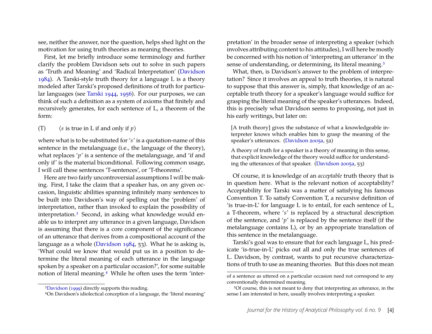see, neither the answer, nor the question, helps shed light on the motivation for using truth theories as meaning theories.

First, let me briefly introduce some terminology and further clarify the problem Davidson sets out to solve in such papers as 'Truth and Meaning' and 'Radical Interpretation' [\(Davidson](#page-19-3) [1984\)](#page-19-3). A Tarski-style truth theory for a language L is a theory modeled after Tarski's proposed definitions of truth for particular languages (see [Tarski 1944,](#page-20-5) [1956\)](#page-20-6). For our purposes, we can think of such a definition as a system of axioms that finitely and recursively generates, for each sentence of L, a theorem of the form:

(T)  $\langle s \text{ is true in } L \text{ if and only if } p \rangle$ 

where what is to be substituted for '*s*' is a quotation-name of this sentence in the metalanguage (i.e., the language of the theory), what replaces 'p' is a sentence of the metalanguage, and 'if and only if' is the material biconditional. Following common usage, I will call these sentences 'T-sentences', or 'T-theorems'.

Here are two fairly uncontroversial assumptions I will be making. First, I take the claim that a speaker has, on any given occasion, linguistic abilities spanning infinitely many sentences to be built into Davidson's way of spelling out the 'problem' of interpretation, rather than invoked to explain the possibility of interpretation.[3](#page-4-0) Second, in asking what knowledge would enable us to interpret any utterance in a given language, Davidson is assuming that there is a core component of the significance of an utterance that derives from a compositional account of the language as a whole [\(Davidson 1984,](#page-19-3) 53). What he is asking is, 'What could we know that would put us in a position to determine the literal meaning of each utterance in the language spoken by a speaker on a particular occasion?', for some suitable notion of literal meaning.[4](#page-4-1) While he often uses the term 'interpretation' in the broader sense of interpreting a speaker (which involves attributing content to his attitudes), I will here be mostly be concerned with his notion of 'interpreting an utterance' in the sense of understanding, or determining, its literal meaning.<sup>[5](#page-4-2)</sup>

What, then, is Davidson's answer to the problem of interpretation? Since it involves an appeal to truth theories, it is natural to suppose that this answer is, simply, that knowledge of an acceptable truth theory for a speaker's language would suffice for grasping the literal meaning of the speaker's utterances. Indeed, this is precisely what Davidson seems to proposing, not just in his early writings, but later on:

[A truth theory] gives the substance of what a knowledgeable interpreter knows which enables him to grasp the meaning of the speaker's utterances. [\(Davidson 2005a,](#page-19-5) 52)

A theory of truth for a speaker is a theory of meaning in this sense, that explicit knowledge of the theory would suffice for understanding the utterances of that speaker. [\(Davidson 2005a,](#page-19-5) 53)

Of course, it is knowledge of an *acceptable* truth theory that is in question here. What is the relevant notion of acceptability? Acceptability for Tarski was a matter of satisfying his famous Convention T. To satisfy Convention T, a recursive definition of 'is true-in-L' for language L is to entail, for each sentence of L, a T-theorem, where '*s*' is replaced by a structural description of the sentence, and '*p*' is replaced by the sentence itself (if the metalanguage contains L), or by an appropriate translation of this sentence in the metalanguage.

Tarski's goal was to ensure that for each language L, his predicate 'is-true-in-L' picks out all and only the true sentences of L. Davidson, by contrast, wants to put recursive characterizations of truth to use as meaning theories. But this does not mean

<span id="page-4-0"></span><sup>3</sup>[Davidson](#page-19-4) [\(1999\)](#page-19-4) directly supports this reading.

<span id="page-4-1"></span><sup>4</sup>On Davidson's idiolectical conception of a language, the 'literal meaning'

of a sentence as uttered on a particular occasion need not correspond to any conventionally determined meaning.

<span id="page-4-2"></span><sup>5</sup>Of course, this is not meant to deny that interpreting an utterance, in the sense I am interested in here, usually involves interpreting a speaker.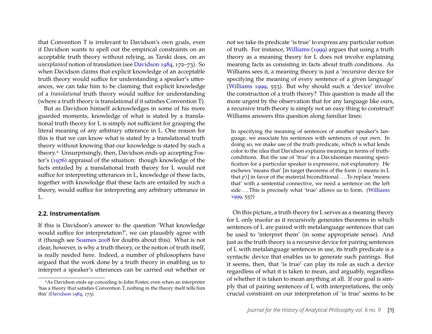that Convention T is irrelevant to Davidson's own goals, even if Davidson wants to spell out the empirical constraints on an acceptable truth theory without relying, as Tarski does, on an *unexplained* notion of translation (see [Davidson](#page-19-3) [1984,](#page-19-3) 172–73). So when Davidson claims that explicit knowledge of an acceptable truth theory would suffice for understanding a speaker's utterances, we can take him to be claiming that explicit knowledge of a *translational* truth theory would suffice for understanding (where a truth theory is translational if it satisfies Convention T).

But as Davidson himself acknowledges in some of his more guarded moments, knowledge of what is stated by a translational truth theory for L is simply not sufficient for grasping the literal meaning of any arbitrary utterance in L. One reason for this is that we can know what is stated by a translational truth theory without knowing that our knowledge is stated by such a theory[.6](#page-5-0) Unsurprisingly, then, Davidson ends up accepting Foster's [\(1976\)](#page-19-6) appraisal of the situation: though knowledge of the facts entailed by a translational truth theory for L would not suffice for interpreting utterances in L, knowledge of these facts, together with knowledge that these facts are entailed by such a theory, would suffice for interpreting any arbitrary utterance in L.

#### **2.2. Instrumentalism**

If this is Davidson's answer to the question 'What knowledge would suffice for interpretation?', we can plausibly agree with it (though see [Soames 2008](#page-20-4) for doubts about this). What is not clear, however, is why a truth theory, or the notion of truth itself, is really needed here. Indeed, a number of philosophers have argued that the work done by a truth theory in enabling us to interpret a speaker's utterances can be carried out whether or not we take its predicate 'is true' to express any particular notion of truth. For instance, [Williams](#page-20-7) [\(1999\)](#page-20-7) argues that using a truth theory as a meaning theory for L does not involve explaining meaning facts as consisting in facts about truth conditions. As Williams sees it, a meaning theory is just a 'recursive device for specifying the meaning of every sentence of a given language' [\(Williams 1999,](#page-20-7) 553). But why should such a 'device' involve the construction of a truth theory? This question is made all the more urgent by the observation that for any language like ours, a recursive truth theory is simply not an easy thing to construct! Williams answers this question along familiar lines:

In specifying the meaning of sentences of another speaker's language, we associate his sentences with sentences of our own. In doing so, we make use of the truth predicate, which is what lends color to the idea that Davidson explains meaning in terms of truthconditions. But the use of 'true' in a Davidsonian meaning specification for a particular speaker is expressive, not explanatory. He eschews 'means that' [in target theorems of the form  $\zeta$  means in L that  $p$ )] in favor of the material biconditional . . . To replace 'means that' with a sentential connective, we need a sentence on the left side ... This is precisely what 'true' allows us to form. [\(Williams](#page-20-7) [1999,](#page-20-7) 557)

On this picture, a truth theory for L serves as a meaning theory for L only insofar as it recursively generates theorems in which sentences of L are paired with metalanguage sentences that can be used to 'interpret them' (in some appropriate sense). And just as the truth theory is a recursive device for pairing sentences of L with metalanguage sentences in use, its truth predicate is a syntactic device that enables us to generate such pairings. But it seems, then, that 'is true' can play its role as such a device regardless of what it is taken to mean, and arguably, regardless of whether it is taken to mean anything at all. If our goal is simply that of pairing sentences of L with interpretations, the only crucial constraint on our interpretation of 'is true' seems to be

<span id="page-5-0"></span><sup>&</sup>lt;sup>6</sup>As Davidson ends up conceding to John Foster, even when an interpreter 'has a theory that satisfies Convention T, nothing in the theory itself tells him this' [\(Davidson 1984,](#page-19-3) 173).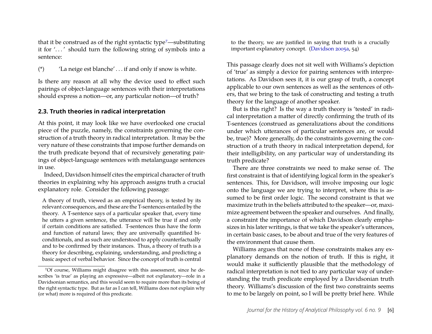that it be construed as of the right syntactic type<sup>7</sup>—substituting it for '. . . ' should turn the following string of symbols into a sentence:

(\*) 'La neige est blanche' . . . if and only if snow is white.

Is there any reason at all why the device used to effect such pairings of object-language sentences with their interpretations should express a notion—or, any particular notion—of truth?

#### **2.3. Truth theories in radical interpretation**

At this point, it may look like we have overlooked one crucial piece of the puzzle, namely, the constraints governing the construction of a truth theory in radical interpretation. It may be the very nature of these constraints that impose further demands on the truth predicate beyond that of recursively generating pairings of object-language sentences with metalanguage sentences in use.

Indeed, Davidson himself cites the empirical character of truth theories in explaining why his approach assigns truth a crucial explanatory role. Consider the following passage:

A theory of truth, viewed as an empirical theory, is tested by its relevant consequences, and these are the T-sentences entailed by the theory. A T-sentence says of a particular speaker that, every time he utters a given sentence, the utterance will be true if and only if certain conditions are satisfied. T-sentences thus have the form and function of natural laws; they are universally quantified biconditionals, and as such are understood to apply counterfactually and to be confirmed by their instances. Thus, a theory of truth is a theory for describing, explaining, understanding, and predicting a basic aspect of verbal behavior. Since the concept of truth is central

to the theory, we are justified in saying that truth is a crucially important explanatory concept. [\(Davidson 2005a,](#page-19-5) 54)

This passage clearly does not sit well with Williams's depiction of 'true' as simply a device for pairing sentences with interpretations. As Davidson sees it, it is our grasp of truth, a concept applicable to our own sentences as well as the sentences of others, that we bring to the task of constructing and testing a truth theory for the language of another speaker.

But is this right? Is the way a truth theory is 'tested' in radical interpretation a matter of directly confirming the truth of its T-sentences (construed as generalizations about the conditions under which utterances of particular sentences are, or would be, true)? More generally, do the constraints governing the construction of a truth theory in radical interpretation depend, for their intelligibility, on any particular way of understanding its truth predicate?

There are three constraints we need to make sense of. The first constraint is that of identifying logical form in the speaker's sentences. This, for Davidson, will involve imposing our logic onto the language we are trying to interpret, where this is assumed to be first order logic. The second constraint is that we maximize truth in the beliefs attributed to the speaker—or, maximize agreement between the speaker and ourselves. And finally, a constraint the importance of which Davidson clearly emphasizes in his later writings, is that we take the speaker's utterances, in certain basic cases, to be about and true of the very features of the environment that cause them.

Williams argues that none of these constraints makes any explanatory demands on the notion of truth. If this is right, it would make it sufficiently plausible that the methodology of radical interpretation is not tied to any particular way of understanding the truth predicate employed by a Davidsonian truth theory. Williams's discussion of the first two constraints seems to me to be largely on point, so I will be pretty brief here. While

<span id="page-6-0"></span><sup>7</sup>Of course, Williams might disagree with this assessment, since he describes 'is true' as playing an expressive—albeit not explanatory—role in a Davidsonian semantics, and this would seem to require more than its being of the right syntactic type. But as far as I can tell, Williams does not explain why (or what) more is required of this predicate.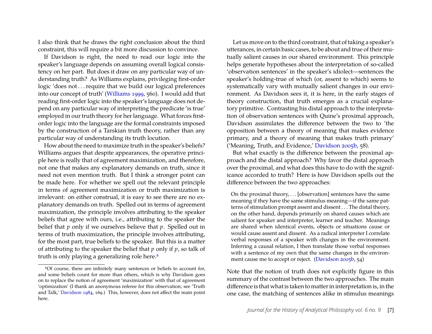I also think that he draws the right conclusion about the third constraint, this will require a bit more discussion to convince.

If Davidson is right, the need to read our logic into the speaker's language depends on assuming overall logical consistency on her part. But does it draw on any particular way of understanding truth? As Williams explains, privileging first-order logic 'does not... require that we build our logical preferences into our concept of truth' [\(Williams](#page-20-7) [1999,](#page-20-7) 560). I would add that reading first-order logic into the speaker's language does not depend on any particular way of interpreting the predicate 'is true' employed in our truth theory for her language. What forces firstorder logic into the language are the formal constraints imposed by the construction of a Tarskian truth theory, rather than any particular way of understanding its truth locution.

How about the need to maximize truth in the speaker's beliefs? Williams argues that despite appearances, the operative principle here is really that of agreement maximization, and therefore, not one that makes any explanatory demands on truth, since it need not even mention truth. But I think a stronger point can be made here. For whether we spell out the relevant principle in terms of agreement maximization or truth maximization is irrelevant: on either construal, it is easy to see there are no explanatory demands on truth. Spelled out in terms of agreement maximization, the principle involves attributing to the speaker beliefs that agree with ours, i.e., attributing to the speaker the belief that *p* only if we ourselves believe that *p*. Spelled out in terms of truth maximization, the principle involves attributing, for the most part, true beliefs to the speaker. But this is a matter of attributing to the speaker the belief that *p* only if *p*, so talk of truth is only playing a generalizing role here.<sup>[8](#page-7-0)</sup>

Let us move on to the third constraint, that of taking a speaker's utterances, in certain basic cases, to be about and true of their mutually salient causes in our shared environment. This principle helps generate hypotheses about the interpretation of so-called 'observation sentences' in the speaker's idiolect—sentences the speaker's holding-true of which (or, assent to which) seems to systematically vary with mutually salient changes in our environment. As Davidson sees it, it is here, in the early stages of theory construction, that truth emerges as a crucial explanatory primitive. Contrasting his distal approach to the interpretation of observation sentences with Quine's proximal approach, Davidson assimilates the difference between the two to 'the opposition between a theory of meaning that makes evidence primary, and a theory of meaning that makes truth primary' ('Meaning, Truth, and Evidence,' [Davidson 2005b,](#page-19-0) 58).

But what exactly is the difference between the proximal approach and the distal approach? Why favor the distal approach over the proximal, and what does this have to do with the significance accorded to truth? Here is how Davidson spells out the difference between the two approaches:

On the proximal theory,  $\ldots$  [observation] sentences have the same meaning if they have the same stimulus meaning—if the same patterns of stimulation prompt assent and dissent . . . The distal theory, on the other hand, depends primarily on shared causes which are salient for speaker and interpreter, learner and teacher. Meanings are shared when identical events, objects or situations cause or would cause assent and dissent. As a radical interpreter I correlate verbal responses of a speaker with changes in the environment. Inferring a causal relation, I then translate those verbal responses with a sentence of my own that the same changes in the environ-ment cause me to accept or reject. [\(Davidson 2005b,](#page-19-0) 54)

Note that the notion of truth does not explicitly figure in this summary of the contrast between the two approaches. The main difference is that what is taken to matter in interpretation is, in the one case, the matching of sentences alike in stimulus meanings

<span id="page-7-0"></span><sup>8</sup>Of course, there are infinitely many sentences or beliefs to account for, and some beliefs count for more than others, which is why Davidson goes on to replace the notion of agreement 'maximization' with that of agreement 'optimization' (I thank an anonymous referee for this observation; see 'Truth and Talk,' [Davidson 1984,](#page-19-3) 169.) This, however, does not affect the main point here.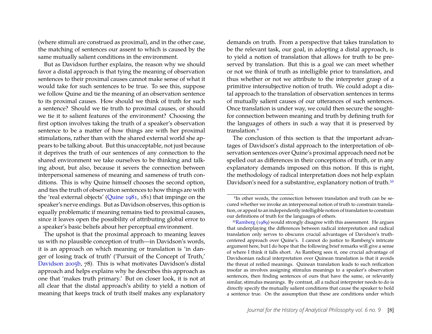(where stimuli are construed as proximal), and in the other case, the matching of sentences our assent to which is caused by the same mutually salient conditions in the environment.

But as Davidson further explains, the reason why we should favor a distal approach is that tying the meaning of observation sentences to their proximal causes cannot make sense of what it would take for such sentences to be true. To see this, suppose we follow Quine and tie the meaning of an observation sentence to its proximal causes. How should we think of truth for such a sentence? Should we tie truth to proximal causes, or should we tie it to salient features of the environment? Choosing the first option involves taking the truth of a speaker's observation sentence to be a matter of how things are with her proximal stimulations, rather than with the shared external world she appears to be talking about. But this unacceptable, not just because it deprives the truth of our sentences of any connection to the shared environment we take ourselves to be thinking and talking about, but also, because it severs the connection between interpersonal sameness of meaning and sameness of truth conditions. This is why Quine himself chooses the second option, and ties the truth of observation sentences to how things are with the 'real external objects' [\(Quine](#page-20-8) [1981,](#page-20-8) 181) that impinge on the speaker's nerve endings. But as Davidson observes, this option is equally problematic if meaning remains tied to proximal causes, since it leaves open the possibility of attributing global error to a speaker's basic beliefs about her perceptual environment.

The upshot is that the proximal approach to meaning leaves us with no plausible conception of truth—in Davidson's words, it is an approach on which meaning or translation is 'in danger of losing track of truth' ('Pursuit of the Concept of Truth,' [Davidson 2005b,](#page-19-0) 78). This is what motivates Davidson's distal approach and helps explains why he describes this approach as one that 'makes truth primary.' But on closer look, it is not at all clear that the distal approach's ability to yield a notion of meaning that keeps track of truth itself makes any explanatory

demands on truth. From a perspective that takes translation to be the relevant task, our goal, in adopting a distal approach, is to yield a notion of translation that allows for truth to be preserved by translation. But this is a goal we can meet whether or not we think of truth as intelligible prior to translation, and thus whether or not we attribute to the interpreter grasp of a primitive intersubjective notion of truth. We could adopt a distal approach to the translation of observation sentences in terms of mutually salient causes of our utterances of such sentences. Once translation is under way, we could then secure the soughtfor connection between meaning and truth by defining truth for the languages of others in such a way that it is preserved by translation.<sup>9</sup>

The conclusion of this section is that the important advantages of Davidson's distal approach to the interpretation of observation sentences over Quine's proximal approach need not be spelled out as differences in their conceptions of truth, or in any explanatory demands imposed on this notion. If this is right, the methodology of radical interpretation does not help explain Davidson's need for a substantive, explanatory notion of truth.<sup>[10](#page-8-1)</sup>

<span id="page-8-0"></span><sup>9</sup>In other words, the connection between translation and truth can be secured whether we invoke an interpersonal notion of truth to constrain translation, or appeal to an independently intelligible notion of translation to constrain our definitions of truth for the languages of others.

<span id="page-8-1"></span><sup>10</sup>[Ramberg](#page-20-9) [\(1989\)](#page-20-9) would strongly disagree with this assessment. He argues that underplaying the differences between radical interpretation and radical translation only serves to obscures crucial advantages of Davidson's truthcentered approach over Quine's. I cannot do justice to Ramberg's intricate argument here, but I do hope that the following brief remarks will give a sense of where I think it falls short. As Ramberg sees it, one crucial advantage of Davidsonian radical interpretation over Quinean translation is that it avoids the threat of reified meanings. Quinean translation leads to such reification insofar as involves assigning stimulus meanings to a speaker's observation sentences, then finding sentences of ours that have the same, or relevantly similar, stimulus meanings. By contrast, all a radical interpreter needs to do is directly specify the mutually salient conditions that cause the speaker to hold a sentence true. On the assumption that these are conditions under which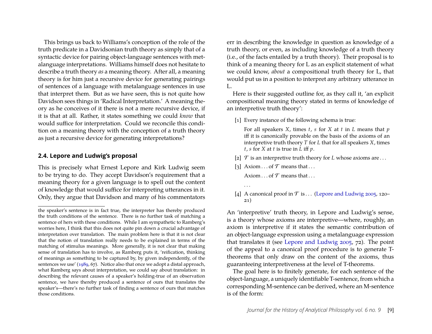This brings us back to Williams's conception of the role of the truth predicate in a Davidsonian truth theory as simply that of a syntactic device for pairing object-language sentences with metalanguage interpretations. Williams himself does not hesitate to describe a truth theory *as* a meaning theory. After all, a meaning theory is for him just a recursive device for generating pairings of sentences of a language with metalanguage sentences in use that interpret them. But as we have seen, this is not quite how Davidson sees things in 'Radical Interpretation.' A meaning theory as he conceives of it there is not a mere recursive device, if it is that at all. Rather, it states something we could *know* that would suffice for interpretation. Could we reconcile this condition on a meaning theory with the conception of a truth theory as just a recursive device for generating interpretations?

#### **2.4. Lepore and Ludwig's proposal**

This is precisely what Ernest Lepore and Kirk Ludwig seem to be trying to do. They accept Davidson's requirement that a meaning theory for a given language is to spell out the content of knowledge that would suffice for interpreting utterances in it. Only, they argue that Davidson and many of his commentators err in describing the knowledge in question as knowledge of a truth theory, or even, as including knowledge of a truth theory (i.e., of the facts entailed by a truth theory). Their proposal is to think of a meaning theory for L as an explicit statement of what we could know, *about* a compositional truth theory for L, that would put us in a position to interpret any arbitrary utterance in L.

Here is their suggested outline for, as they call it, 'an explicit compositional meaning theory stated in terms of knowledge of an interpretive truth theory':

[1] Every instance of the following schema is true:

For all speakers *X*, times *t*, *s* for *X* at *t* in *L* means that *p* iff it is canonically provable on the basis of the axioms of an interpretive truth theory *T* for *L* that for all speakers *X*, times *t*, *s* for *X* at *t* is true in *L* iff *p*.

- [2]  $\mathcal T$  is an interpretive truth theory for *L* whose axioms are ...
- [3] Axiom . . . of  $\mathcal T$  means that . . .

. . .

Axiom  $\ldots$  of  $\mathcal T$  means that  $\ldots$ 

[4] A canonical proof in  $\mathcal T$  is . . . [\(Lepore and Ludwig 2005,](#page-20-10) 120– 21)

An 'interpretive' truth theory, in Lepore and Ludwig's sense, is a theory whose axioms are interpretive—where, roughly, an axiom is interpretive if it states the semantic contribution of an object-language expression using a metalanguage expression that translates it (see [Lepore and Ludwig 2005,](#page-20-10) 72). The point of the appeal to a canonical proof procedure is to generate Ttheorems that only draw on the content of the axioms, thus guaranteeing interpretiveness at the level of T-theorems.

The goal here is to finitely generate, for each sentence of the object-language, a uniquely identifiable T-sentence, from which a corresponding M-sentence can be derived, where an M-sentence is of the form:

the speaker's sentence is in fact true, the interpreter has thereby produced the truth conditions of the sentence. There is no further task of matching a sentence of hers with these conditions. While I am sympathetic to Ramberg's worries here, I think that this does not quite pin down a crucial advantage of interpretation over translation. The main problem here is that it is not clear that the notion of translation really needs to be explained in terms of the matching of stimulus meanings. More generally, it is not clear that making sense of translation has to involve, as Ramberg puts it, 'reification, thinking of meanings as something to be captured by, by given independently, of the sentences we use' [\(1989,](#page-20-9) 67). Notice also that once we adopt a distal approach, what Ramberg says about interpretation, we could say about translation: in describing the relevant causes of a speaker's holding-true of an observation sentence, we have thereby produced a sentence of ours that translates the speaker's—there's no further task of finding a sentence of ours that matches those conditions.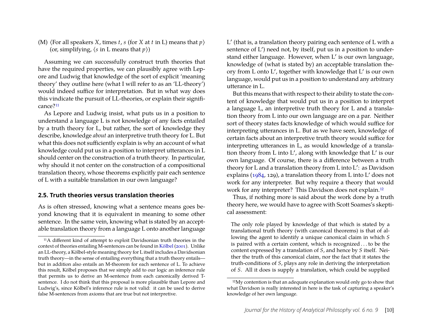(M)  $\langle$  For all speakers *X*, times *t*, *s* (for *X* at *t* in L) means that *p* $\rangle$ (or, simplifying,  $\langle s \text{ in } L \text{ means that } p \rangle$ )

Assuming we can successfully construct truth theories that have the required properties, we can plausibly agree with Lepore and Ludwig that knowledge of the sort of explicit 'meaning theory' they outline here (what I will refer to as an 'LL-theory') would indeed suffice for interpretation. But in what way does this vindicate the pursuit of LL-theories, or explain their significance[?11](#page-10-0)

As Lepore and Ludwig insist, what puts us in a position to understand a language L is not knowledge of any facts entailed by a truth theory for L, but rather, the sort of knowledge they describe, knowledge *about* an interpretive truth theory for L. But what this does not sufficiently explain is why an account of what knowledge could put us in a position to interpret utterances in L should center on the construction of a truth theory. In particular, why should it not center on the construction of a compositional translation theory, whose theorems explicitly pair each sentence of L with a suitable translation in our own language?

#### **2.5. Truth theories versus translation theories**

As is often stressed, knowing what a sentence means goes beyond knowing that it is equivalent in meaning to some other sentence. In the same vein, knowing what is stated by an acceptable translation theory from a language L onto another language

L ′ (that is, a translation theory pairing each sentence of L with a sentence of L') need not, by itself, put us in a position to understand either language. However, when L′ is our own language, knowledge of (what is stated by) an acceptable translation theory from L onto L′ , together with knowledge that L′ is our own language, would put us in a position to understand any arbitrary utterance in L.

But this means that with respect to their ability to state the content of knowledge that would put us in a position to interpret a language L, an interpretive truth theory for L and a translation theory from L into our own language are on a par. Neither sort of theory states facts knowledge of which would suffice for interpreting utterances in L. But as we have seen, knowledge of certain facts about an interpretive truth theory would suffice for interpreting utterances in L, as would knowledge of a translation theory from L into L′ , along with knowledge that L′ is our own language. Of course, there is a difference between a truth theory for L and a translation theory from L into L′ : as Davidson explains [\(1984,](#page-19-3) 129), a translation theory from L into L′ does not work for any interpreter. But why require a theory that would work for any interpreter? This Davidson does not explain.<sup>[12](#page-10-1)</sup>

Thus, if nothing more is said about the work done by a truth theory here, we would have to agree with Scott Soames's skeptical assessment:

The only role played by knowledge of that which is stated by a translational truth theory (with canonical theorems) is that of allowing the agent to identify a unique canonical claim in which *S* is paired with a certain content, which is recognized . . . to be the content expressed by a translation of *S*, and hence by *S* itself. Neither the truth of this canonical claim, nor the fact that it states the truth-conditions of *S*, plays any role in deriving the interpretation of *S*. All it does is supply a translation, which could be supplied

<span id="page-10-0"></span><sup>11</sup>A different kind of attempt to exploit Davidsonian truth theories in the context of theories entailing M-sentences can be found in [Kölbel](#page-20-11) [\(2001\)](#page-20-11). Unlike an LL-theory, a Kölbel-style meaning theory for L itself includes a Davidsonian truth theory—in the sense of entailing everything that a truth theory entails but in addition also entails an M-theorem for each sentence of L. To achieve this result, Kölbel proposes that we simply add to our logic an inference rule that permits us to derive an M-sentence from each canonically derived Tsentence. I do not think that this proposal is more plausible than Lepore and Ludwig's, since Kölbel's inference rule is not valid: it can be used to derive false M-sentences from axioms that are true but not interpretive.

<span id="page-10-1"></span><sup>&</sup>lt;sup>12</sup>My contention is that an adequate explanation would only go to show that what Davidson is really interested in here is the task of capturing a speaker's knowledge of her own language.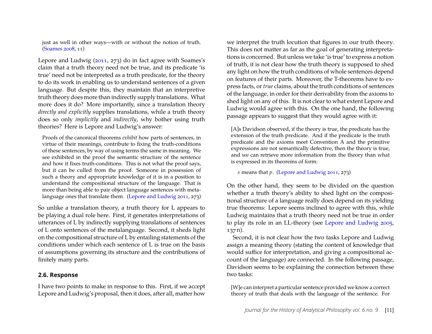just as well in other ways—with or without the notion of truth. [\(Soames 2008,](#page-20-4) 11)

Lepore and Ludwig [\(2011,](#page-20-12) 273) do in fact agree with Soames's claim that a truth theory need not be true, and its predicate 'is true' need not be interpreted as a truth predicate, for the theory to do its work in enabling us to understand sentences of a given language. But despite this, they maintain that an interpretive truth theory does more than indirectly supply translations. What more does it do? More importantly, since a translation theory *directly and explicitly* supplies translations, while a truth theory does so only *implicitly* and *indirectly*, why bother using truth theories? Here is Lepore and Ludwig's answer:

Proofs of the canonical theorems *exhibit* how parts of sentences, in virtue of their meanings, contribute to fixing the truth-conditions of these sentences, by way of using terms the same in meaning. We see exhibited in the proof the semantic structure of the sentence and how it fixes truth-conditions. This is not what the proof says, but it can be culled from the proof. Someone in possession of such a theory and appropriate knowledge of it is in a position to understand the compositional structure of the language. That is more than being able to pair object language sentences with metalanguage ones that translate them. [\(Lepore and Ludwig 2011,](#page-20-12) 273)

So unlike a translation theory, a truth theory for L appears to be playing a dual role here. First, it generates interpretations of utterances of L by indirectly supplying translations of sentences of L onto sentences of the metalanguage. Second, it sheds light on the compositional structure of L by entailing statements of the conditions under which each sentence of L is true on the basis of assumptions governing its structure and the contributions of finitely many parts.

#### **2.6. Response**

I have two points to make in response to this. First, if we accept Lepore and Ludwig's proposal, then it does, after all, matter how

we interpret the truth locution that figures in our truth theory. This does not matter as far as the goal of generating interpretations is concerned. But unless we take 'is true' to express a notion of truth, it is not clear how the truth theory is supposed to shed any light on how the truth conditions of whole sentences depend on features of their parts. Moreover, the T-theorems have to express facts, or*true* claims, about the truth conditions of sentences of the language, in order for their derivability from the axioms to shed light on any of this. It is not clear to what extent Lepore and Ludwig would agree with this. On the one hand, the following passage appears to suggest that they would agree with it:

[A]s Davidson observed, if the theory is true, the predicate has the extension of the truth predicate. And if the predicate is the truth predicate and the axioms meet Convention A and the primitive expressions are not semantically defective, then the theory is true, and we can retrieve more information from the theory than what is expressed in its theorems of form:

*s* means that *p*. [\(Lepore and Ludwig 2011,](#page-20-12) 273)

On the other hand, they seem to be divided on the question whether a truth theory's ability to shed light on the compositional structure of a language really does depend on its yielding true theorems: Lepore seems inclined to agree with this, while Ludwig maintains that a truth theory need not be true in order to play its role in an LL-theory (see [Lepore and Ludwig 2005,](#page-20-10) 137 n).

Second, it is not clear how the two tasks Lepore and Ludwig assign a meaning theory (stating the content of knowledge that would suffice for interpretation, and giving a compositional account of the language) are connected. In the following passage, Davidson seems to be explaining the connection between these two tasks:

[W]e can interpret a particular sentence provided we know a correct theory of truth that deals with the language of the sentence. For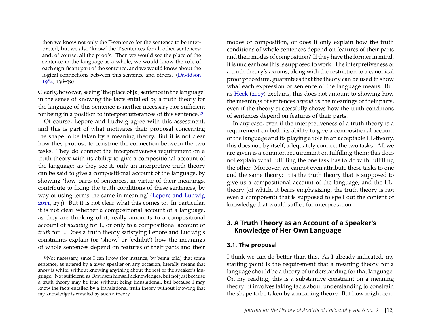then we know not only the T-sentence for the sentence to be interpreted, but we also 'know' the T-sentences for all other sentences; and, of course, all the proofs. Then we would see the place of the sentence in the language as a whole, we would know the role of each significant part of the sentence, and we would know about the logical connections between this sentence and others. [\(Davidson](#page-19-3) [1984,](#page-19-3) 138–39)

Clearly, however, seeing 'the place of [a] sentence in the language' in the sense of knowing the facts entailed by a truth theory for the language of this sentence is neither necessary nor sufficient for being in a position to interpret utterances of this sentence.[13](#page-12-1)

Of course, Lepore and Ludwig agree with this assessment, and this is part of what motivates their proposal concerning the shape to be taken by a meaning theory. But it is not clear how they propose to construe the connection between the two tasks. They do connect the interpretiveness requirement on a truth theory with its ability to give a compositional account of the language: as they see it, only an interpretive truth theory can be said to give a compositional account of the language, by showing 'how parts of sentences, in virtue of their meanings, contribute to fixing the truth conditions of these sentences, by way of using terms the same in meaning' [\(Lepore and Ludwig](#page-20-12) [2011,](#page-20-12) 273). But it is not clear what this comes to. In particular, it is not clear whether a compositional account of a language, as they are thinking of it, really amounts to a compositional account of *meaning* for L, or only to a compositional account of *truth* for L. Does a truth theory satisfying Lepore and Ludwig's constraints explain (or 'show,' or 'exhibit') how the meanings of whole sentences depend on features of their parts and their modes of composition, or does it only explain how the truth conditions of whole sentences depend on features of their parts and their modes of composition? If they have the former in mind, it is unclear how this is supposed to work. The interpretiveness of a truth theory's axioms, along with the restriction to a canonical proof procedure, guarantees that the theory can be used to show what each expression or sentence of the language means. But as [Heck](#page-19-7) [\(2007\)](#page-19-7) explains, this does not amount to showing how the meanings of sentences *depend on* the meanings of their parts, even if the theory successfully shows how the truth conditions of sentences depend on features of their parts.

In any case, even if the interpretiveness of a truth theory is a requirement on both its ability to give a compositional account of the language and its playing a role in an acceptable LL-theory, this does not, by itself, adequately connect the two tasks. All we are given is a common requirement on fulfilling them; this does not explain what fulfilling the one task has to do with fulfilling the other. Moreover, we cannot even attribute these tasks to one and the same theory: it is the truth theory that is supposed to give us a compositional account of the language, and the LLtheory (of which, it bears emphasizing, the truth theory is not even a component) that is supposed to spell out the content of knowledge that would suffice for interpretation.

#### <span id="page-12-0"></span>**3. A Truth Theory as an Account of a Speaker's Knowledge of Her Own Language**

#### **3.1. The proposal**

I think we can do better than this. As I already indicated, my starting point is the requirement that a meaning theory for a language should be a theory of understanding for that language. On my reading, this is a substantive constraint on a meaning theory: it involves taking facts about understanding to constrain the shape to be taken by a meaning theory. But how might con-

<span id="page-12-1"></span><sup>13</sup>Not necessary, since I can know (for instance, by being told) that some sentence, as uttered by a given speaker on any occasion, literally means that snow is white, without knowing anything about the rest of the speaker's language. Not sufficient, as Davidson himself acknowledges, but not just because a truth theory may be true without being translational, but because I may know the facts entailed by a translational truth theory without knowing that my knowledge is entailed by such a theory.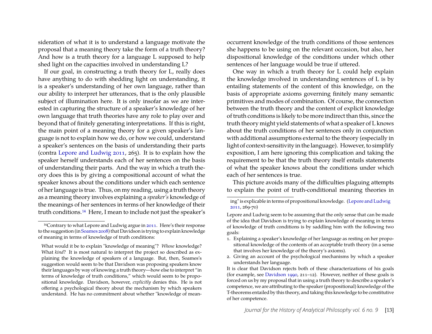sideration of what it is to understand a language motivate the proposal that a meaning theory take the form of a truth theory? And how is a truth theory for a language L supposed to help shed light on the capacities involved in understanding L?

If our goal, in constructing a truth theory for L, really does have anything to do with shedding light on understanding, it is a speaker's understanding of her own language, rather than our ability to interpret her utterances, that is the only plausible subject of illumination here. It is only insofar as we are interested in capturing the structure of a speaker's knowledge of her own language that truth theories have any role to play over and beyond that of finitely generating interpretations. If this is right, the main point of a meaning theory for a given speaker's language is not to explain how we do, or how we could, understand a speaker's sentences on the basis of understanding their parts (contra [Lepore and Ludwig](#page-20-12) [2011,](#page-20-12) 265). It is to explain how the speaker herself understands each of her sentences on the basis of understanding their parts. And the way in which a truth theory does this is by giving a compositional account of what the speaker knows about the conditions under which each sentence of her language is true. Thus, on my reading, using a truth theory as a meaning theory involves explaining a *speaker's* knowledge of the meanings of her sentences in terms of her knowledge of their truth conditions.[14](#page-13-0) Here, I mean to include not just the speaker's occurrent knowledge of the truth conditions of those sentences she happens to be using on the relevant occasion, but also, her dispositional knowledge of the conditions under which other sentences of her language would be true if uttered.

One way in which a truth theory for L could help explain the knowledge involved in understanding sentences of L is by entailing statements of the content of this knowledge, on the basis of appropriate axioms governing finitely many semantic primitives and modes of combination. Of course, the connection between the truth theory and the content of explicit knowledge of truth conditions is likely to be more indirect than this, since the truth theory might yield statements of what a speaker of L knows about the truth conditions of her sentences only in conjunction with additional assumptions external to the theory (especially in light of context-sensitivity in the language). However, to simplify exposition, I am here ignoring this complication and taking the requirement to be that the truth theory itself entails statements of what the speaker knows about the conditions under which each of her sentences is true.

This picture avoids many of the difficulties plaguing attempts to explain the point of truth-conditional meaning theories in

<span id="page-13-0"></span><sup>14</sup>Contrary to what Lepore and Ludwig argue in [2011.](#page-20-12) Here's their response to the suggestion (in [Soames 2008\)](#page-20-4) that Davidson is trying to explain knowledge of meaning in terms of knowledge of truth conditions:

What would it be to explain "knowledge of meaning"? *Whose* knowledge? What *kind*? It is most natural to interpret the project so described as explaining the knowledge of speakers of a language. But, then, Soames's suggestion would seem to be that Davidson was proposing speakers know their languages by way of knowing a truth theory—how else to interpret "in terms of knowledge of truth conditions," which would seem to be propositional knowledge. Davidson, however, *explicitly* denies this. He is not offering a psychological theory about the mechanism by which speakers understand. He has no commitment about whether "knowledge of mean-

ing" is explicable in terms of propositional knowledge. [\(Lepore and Ludwig](#page-20-12) [2011,](#page-20-12) 269-70)

Lepore and Ludwig seem to be assuming that the only sense that can be made of the idea that Davidson is trying to explain knowledge of meaning in terms of knowledge of truth conditions is by saddling him with the following two goals:

<sup>1.</sup> Explaining a speaker's knowledge of her language as resting on her propositional knowledge of the contents of an acceptable truth theory (in a sense that involves her knowledge of the theory's axioms).

<sup>2.</sup> Giving an account of the psychological mechanisms by which a speaker understands her language.

It is clear that Davidson rejects both of these characterizations of his goals (for example, see [Davidson 1990,](#page-19-8) 211–12). However, neither of these goals is forced on us by my proposal that in using a truth theory to describe a speaker's competence, we are attributing to the speaker (propositional) knowledge of the T-theorems entailed by this theory, and taking this knowledge to be constitutive of her competence.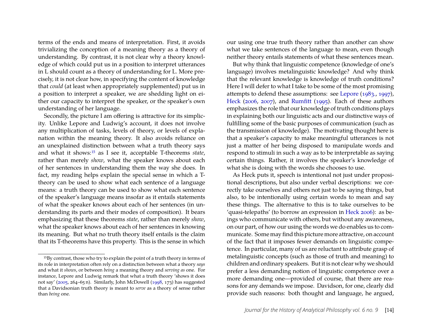terms of the ends and means of interpretation. First, it avoids trivializing the conception of a meaning theory as a theory of understanding. By contrast, it is not clear why a theory knowledge of which could put us in a position to interpret utterances in L should count as a theory of understanding for L. More precisely, it is not clear how, in specifying the content of knowledge that *could* (at least when appropriately supplemented) put us in a position to interpret a speaker, we are shedding light on either our capacity to interpret the speaker, or the speaker's own understanding of her language.

Secondly, the picture I am offering is attractive for its simplicity. Unlike Lepore and Ludwig's account, it does not involve any multiplication of tasks, levels of theory, or levels of explanation within the meaning theory. It also avoids reliance on an unexplained distinction between what a truth theory says and what it shows:[15](#page-14-0) as I see it, acceptable T-theorems *state*, rather than merely *show*, what the speaker knows about each of her sentences in understanding them the way she does. In fact, my reading helps explain the special sense in which a Ttheory can be used to show what each sentence of a language means: a truth theory can be used to show what each sentence of the speaker's language means insofar as it entails statements of what the speaker knows about each of her sentences (in understanding its parts and their modes of composition). It bears emphasizing that these theorems *state*, rather than merely *show*, what the speaker knows about each of her sentences in knowing its meaning. But what no truth theory itself entails is the claim that its T-theorems have this property. This is the sense in which

our using one true truth theory rather than another can show what we take sentences of the language to mean, even though neither theory entails statements of what these sentences mean.

But why think that linguistic competence (knowledge of one's language) involves metalinguistic knowledge? And why think that the relevant knowledge is knowledge of truth conditions? Here I will defer to what I take to be some of the most promising attempts to defend these assumptions: see [Lepore](#page-20-14) [\(1983.,](#page-20-14) [1997\)](#page-20-15), [Heck](#page-19-9) [\(2006,](#page-19-9) [2007\)](#page-19-7), and [Rumfitt](#page-20-16) [\(1995\)](#page-20-16). Each of these authors emphasizes the role that our knowledge of truth conditions plays in explaining both our linguistic acts and our distinctive ways of fulfilling some of the basic purposes of communication (such as the transmission of knowledge). The motivating thought here is that a speaker's capacity to make meaningful utterances is not just a matter of her being disposed to manipulate words and respond to stimuli in such a way as to be interpretable as saying certain things. Rather, it involves the speaker's knowledge of what she is doing with the words she chooses to use.

As Heck puts it, speech is intentional not just under propositional descriptions, but also under verbal descriptions: we correctly take ourselves and others not just to be saying things, but also, to be intentionally using certain words to mean and say these things. The alternative to this is to take ourselves to be 'quasi-telepaths' (to borrow an expression in [Heck 2006\)](#page-19-9): as beings who communicate with others, but without any awareness, on our part, of how our using the words we do enables us to communicate. Some may find this picture more attractive, on account of the fact that it imposes fewer demands on linguistic competence. In particular, many of us are reluctant to attribute grasp of metalinguistic concepts (such as those of truth and meaning) to children and ordinary speakers. But it is not clear why we should prefer a less demanding notion of linguistic competence over a more demanding one—provided of course, that there are reasons for any demands we impose. Davidson, for one, clearly did provide such reasons: both thought and language, he argued,

<span id="page-14-0"></span><sup>15</sup>By contrast, those who try to explain the point of a truth theory in terms of its role in interpretation often rely on a distinction between what a theory *says* and what it *shows*, or between *being* a meaning theory and *serving as* one. For instance, Lepore and Ludwig remark that what a truth theory 'shows it does not say' [\(2005,](#page-20-10) 264–65 n). Similarly, John McDowell [\(1998,](#page-20-13) 173) has suggested that a Davidsonian truth theory is meant to *serve* as a theory of sense rather than *being* one.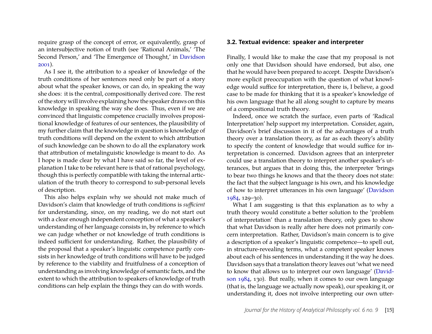require grasp of the concept of error, or equivalently, grasp of an intersubjective notion of truth (see 'Rational Animals,' 'The Second Person,' and 'The Emergence of Thought,' in [Davidson](#page-19-10) [2001\)](#page-19-10).

As I see it, the attribution to a speaker of knowledge of the truth conditions of her sentences need only be part of a story about what the speaker knows, or can do, in speaking the way she does: it is the central, compositionally derived core. The rest of the story will involve explaining how the speaker draws on this knowledge in speaking the way she does. Thus, even if we are convinced that linguistic competence crucially involves propositional knowledge of features of our sentences, the plausibility of my further claim that the knowledge in question is knowledge of truth conditions will depend on the extent to which attribution of such knowledge can be shown to do all the explanatory work that attribution of metalinguistic knowledge is meant to do. As I hope is made clear by what I have said so far, the level of explanation I take to be relevant here is that of rational psychology, though this is perfectly compatible with taking the internal articulation of the truth theory to correspond to sub-personal levels of description.

This also helps explain why we should not make much of Davidson's claim that knowledge of truth conditions is *sufficient* for understanding, since, on my reading, we do not start out with a clear enough independent conception of what a speaker's understanding of her language consists in, by reference to which we can judge whether or not knowledge of truth conditions is indeed sufficient for understanding. Rather, the plausibility of the proposal that a speaker's linguistic competence partly consists in her knowledge of truth conditions will have to be judged by reference to the viability and fruitfulness of a conception of understanding as involving knowledge of semantic facts, and the extent to which the attribution to speakers of knowledge of truth conditions can help explain the things they can do with words.

#### **3.2. Textual evidence: speaker and interpreter**

Finally, I would like to make the case that my proposal is not only one that Davidson should have endorsed, but also, one that he would have been prepared to accept. Despite Davidson's more explicit preoccupation with the question of what knowledge would suffice for interpretation, there is, I believe, a good case to be made for thinking that it is a speaker's knowledge of his own language that he all along sought to capture by means of a compositional truth theory.

Indeed, once we scratch the surface, even parts of 'Radical Interpretation' help support my interpretation. Consider, again, Davidson's brief discussion in it of the advantages of a truth theory over a translation theory, as far as each theory's ability to specify the content of knowledge that would suffice for interpretation is concerned. Davidson agrees that an interpreter could use a translation theory to interpret another speaker's utterances, but argues that in doing this, the interpreter 'brings to bear two things he knows and that the theory does not state: the fact that the subject language is his own, and his knowledge of how to interpret utterances in his own language' [\(Davidson](#page-19-3) [1984,](#page-19-3) 129–30).

What I am suggesting is that this explanation as to why a truth theory would constitute a better solution to the 'problem of interpretation' than a translation theory, only goes to show that what Davidson is really after here does not primarily concern interpretation. Rather, Davidson's main concern is to give a description of a speaker's linguistic competence—to spell out, in structure-revealing terms, what a competent speaker knows about each of his sentences in understanding it the way he does. Davidson says that a translation theory leaves out 'what we need to know that allows us to interpret our own language' [\(David](#page-19-3)[son 1984,](#page-19-3) 130). But really, when it comes to our own language (that is, the language we actually now speak), our speaking it, or understanding it, does not involve interpreting our own utter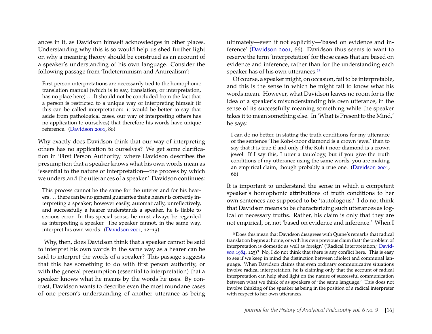ances in it, as Davidson himself acknowledges in other places. Understanding why this is so would help us shed further light on why a meaning theory should be construed as an account of a speaker's understanding of his own language. Consider the following passage from 'Indeterminism and Antirealism':

First person interpretations are necessarily tied to the homophonic translation manual (which is to say, translation, or interpretation, has no place here) . . . It should not be concluded from the fact that a person is restricted to a unique way of interpreting himself (if this can be called interpretation: it would be better to say that aside from pathological cases, our way of interpreting others has no application to ourselves) that therefore his words have unique reference. [\(Davidson](#page-19-10) [2001,](#page-19-10) 80)

Why exactly does Davidson think that our way of interpreting others has no application to ourselves? We get some clarification in 'First Person Authority,' where Davidson describes the presumption that a speaker knows what his own words mean as 'essential to the nature of interpretation—the process by which we understand the utterances of a speaker.' Davidson continues:

This process cannot be the same for the utterer and for his hearers . . . there can be no general guarantee that a hearer is correctly interpreting a speaker; however easily, automatically, unreflectively, and successfully a hearer understands a speaker, he is liable to serious error. In this special sense, he must always be regarded as interpreting a speaker. The speaker cannot, in the same way, interpret his own words. [\(Davidson 2001,](#page-19-10) 12–13)

Why, then, does Davidson think that a speaker cannot be said to interpret his own words in the same way as a hearer can be said to interpret the words of a speaker? This passage suggests that this has something to do with first person authority, or with the general presumption (essential to interpretation) that a speaker knows what he means by the words he uses. By contrast, Davidson wants to describe even the most mundane cases of one person's understanding of another utterance as being ultimately—even if not explicitly—'based on evidence and inference' [\(Davidson 2001,](#page-19-10) 66). Davidson thus seems to want to reserve the term 'interpretation' for those cases that are based on evidence and inference, rather than for the understanding each speaker has of his own utterances.<sup>[16](#page-16-0)</sup>

Of course, a speaker might, on occasion, fail to be interpretable, and this is the sense in which he might fail to know what his words mean. However, what Davidson leaves no room for is the idea of a speaker's misunderstanding his own utterance, in the sense of its successfully meaning something while the speaker takes it to mean something else. In 'What is Present to the Mind,' he says:

I can do no better, in stating the truth conditions for my utterance of the sentence 'The Koh-i-noor diamond is a crown jewel' than to say that it is true if and only if the Koh-i-noor diamond is a crown jewel. If I say this, I utter a tautology, but if you give the truth conditions of my utterance using the same words, you are making an empirical claim, though probably a true one. [\(Davidson 2001,](#page-19-10) 66)

It is important to understand the sense in which a competent speaker's homophonic attributions of truth conditions to her own sentences are supposed to be 'tautologous.' I do not think that Davidson means to be characterizing such utterances as logical or necessary truths. Rather, his claim is only that they are not empirical, or, not 'based on evidence and inference.' When I

<span id="page-16-0"></span><sup>16</sup>Does this mean that Davidson disagrees with Quine's remarks that radical translation begins at home, or with his own previous claim that 'the problem of interpretation is domestic as well as foreign' ('Radical Interpretation,' [David](#page-19-3)[son 1984,](#page-19-3) 125)? No, I do not think that there is any conflict here. This is easy to see if we keep in mind the distinction between idiolect and communal language. When Davidson claims that even ordinary communicative situations involve radical interpretation, he is claiming only that the account of radical interpretation can help shed light on the nature of successful communication between what we think of as speakers of 'the same language.' This does not involve thinking of the speaker as being in the position of a radical interpreter with respect to her own utterances.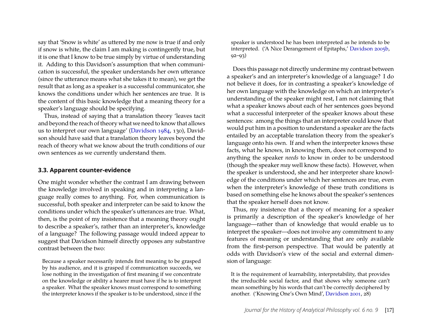say that 'Snow is white' as uttered by me now is true if and only if snow is white, the claim I am making is contingently true, but it is one that I know to be true simply by virtue of understanding it. Adding to this Davidson's assumption that when communication is successful, the speaker understands her own utterance (since the utterance means what she takes it to mean), we get the result that as long as a speaker is a successful communicator, she knows the conditions under which her sentences are true. It is the content of this basic knowledge that a meaning theory for a speaker's language should be specifying.

Thus, instead of saying that a translation theory 'leaves tacit and beyond the reach of theory what we need to know that allows us to interpret our own language' [\(Davidson](#page-19-3) [1984,](#page-19-3) 130), Davidson should have said that a translation theory leaves beyond the reach of theory what we know about the truth conditions of our own sentences as we currently understand them.

#### **3.3. Apparent counter-evidence**

One might wonder whether the contrast I am drawing between the knowledge involved in speaking and in interpreting a language really comes to anything. For, when communication is successful, both speaker and interpreter can be said to know the conditions under which the speaker's utterances are true. What, then, is the point of my insistence that a meaning theory ought to describe a speaker's, rather than an interpreter's, knowledge of a language? The following passage would indeed appear to suggest that Davidson himself directly opposes any substantive contrast between the two:

Because a speaker necessarily intends first meaning to be grasped by his audience, and it is grasped if communication succeeds, we lose nothing in the investigation of first meaning if we concentrate on the knowledge or ability a hearer must have if he is to interpret a speaker. What the speaker knows must correspond to something the interpreter knows if the speaker is to be understood, since if the

speaker is understood he has been interpreted as he intends to be interpreted. ('A Nice Derangement of Epitaphs,' [Davidson 2005b,](#page-19-0) 92–93)

Does this passage not directly undermine my contrast between a speaker's and an interpreter's knowledge of a language? I do not believe it does, for in contrasting a speaker's knowledge of her own language with the knowledge on which an interpreter's understanding of the speaker might rest, I am not claiming that what a speaker knows about each of her sentences goes beyond what a successful interpreter of the speaker knows about these sentences: among the things that an interpreter could know that would put him in a position to understand a speaker are the facts entailed by an acceptable translation theory from the speaker's language onto his own. If and when the interpreter knows these facts, what he knows, in knowing them, does not correspond to anything the speaker *needs* to know in order to be understood (though the speaker *may* well know these facts). However, when the speaker is understood, she and her interpreter share knowledge of the conditions under which her sentences are true, even when the interpreter's knowledge of these truth conditions is based on something else he knows about the speaker's sentences that the speaker herself does not know.

Thus, my insistence that a theory of meaning for a speaker is primarily a description of the speaker's knowledge of her language—rather than of knowledge that would enable us to interpret the speaker—does not involve any commitment to any features of meaning or understanding that are only available from the first-person perspective. That would be patently at odds with Davidson's view of the social and external dimension of language:

It is the requirement of learnability, interpretability, that provides the irreducible social factor, and that shows why someone can't mean something by his words that can't be correctly deciphered by another. ('Knowing One's Own Mind', [Davidson 2001,](#page-19-10) 28)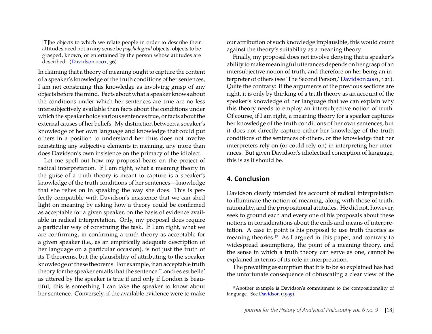[T]he objects to which we relate people in order to describe their attitudes need not in any sense be *psychological* objects, objects to be grasped, known, or entertained by the person whose attitudes are described. [\(Davidson](#page-19-10) [2001,](#page-19-10) 36)

In claiming that a theory of meaning ought to capture the content of a speaker's knowledge of the truth conditions of her sentences, I am not construing this knowledge as involving grasp of any objects before the mind. Facts about what a speaker knows about the conditions under which her sentences are true are no less intersubjectively available than facts about the conditions under which the speaker holds various sentences true, or facts about the external causes of her beliefs. My distinction between a speaker's knowledge of her own language and knowledge that could put others in a position to understand her thus does not involve reinstating any subjective elements in meaning, any more than does Davidson's own insistence on the primacy of the idiolect.

Let me spell out how my proposal bears on the project of radical interpretation. If I am right, what a meaning theory in the guise of a truth theory is meant to capture is a speaker's knowledge of the truth conditions of her sentences—knowledge that she relies on in speaking the way she does. This is perfectly compatible with Davidson's insistence that we can shed light on meaning by asking how a theory could be confirmed as acceptable for a given speaker, on the basis of evidence available in radical interpretation. Only, my proposal does require a particular way of construing the task. If I am right, what we are confirming, in confirming a truth theory as acceptable for a given speaker (i.e., as an empirically adequate description of her language on a particular occasion), is not just the truth of its T-theorems, but the plausibility of attributing to the speaker knowledge of these theorems. For example, if an acceptable truth theory for the speaker entails that the sentence 'Londres est belle' as uttered by the speaker is true if and only if London is beautiful, this is something I can take the speaker to know about her sentence. Conversely, if the available evidence were to make our attribution of such knowledge implausible, this would count against the theory's suitability as a meaning theory.

Finally, my proposal does not involve denying that a speaker's ability to make meaningful utterances depends on her grasp of an intersubjective notion of truth, and therefore on her being an interpreter of others (see 'The Second Person,' [Davidson 2001,](#page-19-10) 121). Quite the contrary: if the arguments of the previous sections are right, it is only by thinking of a truth theory as an account of the speaker's knowledge of her language that we can explain why this theory needs to employ an intersubjective notion of truth. Of course, if I am right, a meaning theory for a speaker captures her knowledge of the truth conditions of her own sentences, but it does not directly capture either her knowledge of the truth conditions of the sentences of others, or the knowledge that her interpreters rely on (or could rely on) in interpreting her utterances. But given Davidson's idiolectical conception of language, this is as it should be.

#### **4. Conclusion**

Davidson clearly intended his account of radical interpretation to illuminate the notion of meaning, along with those of truth, rationality, and the propositional attitudes. He did not, however, seek to ground each and every one of his proposals about these notions in considerations about the ends and means of interpretation. A case in point is his proposal to use truth theories as meaning theories.[17](#page-18-0) As I argued in this paper, and contrary to widespread assumptions, the point of a meaning theory, and the sense in which a truth theory can serve as one, cannot be explained in terms of its role in interpretation.

The prevailing assumption that it is to be so explained has had the unfortunate consequence of obfuscating a clear view of the

<span id="page-18-0"></span><sup>17</sup>Another example is Davidson's commitment to the compositionality of language. See [Davidson](#page-19-4) [\(1999\)](#page-19-4).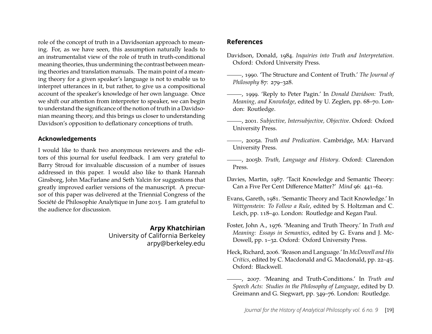role of the concept of truth in a Davidsonian approach to meaning. For, as we have seen, this assumption naturally leads to an instrumentalist view of the role of truth in truth-conditional meaning theories, thus undermining the contrast between meaning theories and translation manuals. The main point of a meaning theory for a given speaker's language is not to enable us to interpret utterances in it, but rather, to give us a compositional account of the speaker's knowledge of her own language. Once we shift our attention from interpreter to speaker, we can begin to understand the significance of the notion of truth in a Davidsonian meaning theory, and this brings us closer to understanding Davidson's opposition to deflationary conceptions of truth.

#### **Acknowledgements**

I would like to thank two anonymous reviewers and the editors of this journal for useful feedback. I am very grateful to Barry Stroud for invaluable discussion of a number of issues addressed in this paper. I would also like to thank Hannah Ginsborg, John MacFarlane and Seth Yalcin for suggestions that greatly improved earlier versions of the manuscript. A precursor of this paper was delivered at the Triennial Congress of the Société de Philosophie Analytique in June 2015. I am grateful to the audience for discussion.

### **Arpy Khatchirian**

University of California Berkeley arpy@berkeley.edu

### **References**

- <span id="page-19-3"></span>Davidson, Donald, 1984. *Inquiries into Truth and Interpretation*. Oxford: Oxford University Press.
- <span id="page-19-8"></span>, 1990. 'The Structure and Content of Truth.' *The Journal of Philosophy* 87: 279–328.
- <span id="page-19-4"></span>, 1999. 'Reply to Peter Pagin.' In *Donald Davidson: Truth, Meaning, and Knowledge*, edited by U. Zeglen, pp. 68–70. London: Routledge.
- <span id="page-19-10"></span>, 2001. *Subjective, Intersubjective, Objective*. Oxford: Oxford University Press.
- <span id="page-19-5"></span>, 2005a. *Truth and Predication*. Cambridge, MA: Harvard University Press.
- <span id="page-19-0"></span>, 2005b. *Truth, Language and History*. Oxford: Clarendon Press.
- <span id="page-19-2"></span>Davies, Martin, 1987. 'Tacit Knowledge and Semantic Theory: Can a Five Per Cent Difference Matter?' *Mind* 96: 441–62.
- <span id="page-19-1"></span>Evans, Gareth, 1981. 'Semantic Theory and Tacit Knowledge.' In *Wittgenstein: To Follow a Rule*, edited by S. Holtzman and C. Leich, pp. 118–40. London: Routledge and Kegan Paul.
- <span id="page-19-6"></span>Foster, John A., 1976. 'Meaning and Truth Theory.' In *Truth and Meaning: Essays in Semantics*, edited by G. Evans and J. Mc-Dowell, pp. 1–32. Oxford: Oxford University Press.
- <span id="page-19-9"></span>Heck, Richard, 2006. 'Reason and Language.' In *McDowell and His Critics*, edited by C. Macdonald and G. Macdonald, pp. 22–45. Oxford: Blackwell.
- <span id="page-19-7"></span>, 2007. 'Meaning and Truth-Conditions.' In *Truth and Speech Acts: Studies in the Philosophy of Language*, edited by D. Greimann and G. Siegwart, pp. 349–76. London: Routledge.